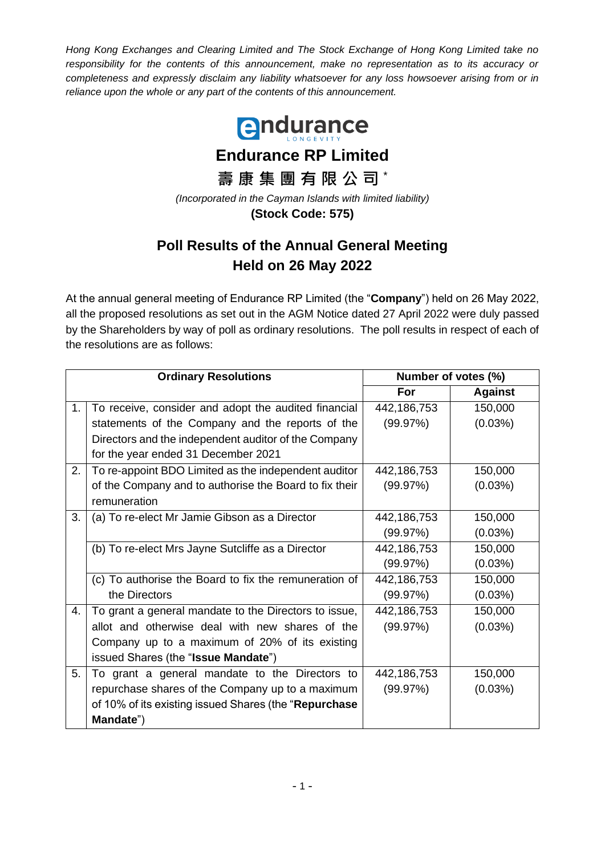*Hong Kong Exchanges and Clearing Limited and The Stock Exchange of Hong Kong Limited take no*  responsibility for the contents of this announcement, make no representation as to its accuracy or *completeness and expressly disclaim any liability whatsoever for any loss howsoever arising from or in reliance upon the whole or any part of the contents of this announcement.*



## **Poll Results of the Annual General Meeting Held on 26 May 2022**

At the annual general meeting of Endurance RP Limited (the "**Company**") held on 26 May 2022, all the proposed resolutions as set out in the AGM Notice dated 27 April 2022 were duly passed by the Shareholders by way of poll as ordinary resolutions. The poll results in respect of each of the resolutions are as follows:

| <b>Ordinary Resolutions</b> |                                                        | Number of votes (%) |                |
|-----------------------------|--------------------------------------------------------|---------------------|----------------|
|                             |                                                        | For                 | <b>Against</b> |
| 1 <sub>1</sub>              | To receive, consider and adopt the audited financial   | 442,186,753         | 150,000        |
|                             | statements of the Company and the reports of the       | (99.97%)            | (0.03%)        |
|                             | Directors and the independent auditor of the Company   |                     |                |
|                             | for the year ended 31 December 2021                    |                     |                |
| 2.                          | To re-appoint BDO Limited as the independent auditor   | 442,186,753         | 150,000        |
|                             | of the Company and to authorise the Board to fix their | (99.97%)            | $(0.03\%)$     |
|                             | remuneration                                           |                     |                |
| 3.                          | (a) To re-elect Mr Jamie Gibson as a Director          | 442,186,753         | 150,000        |
|                             |                                                        | (99.97%)            | (0.03%)        |
|                             | (b) To re-elect Mrs Jayne Sutcliffe as a Director      | 442,186,753         | 150,000        |
|                             |                                                        | (99.97%)            | (0.03%)        |
|                             | (c) To authorise the Board to fix the remuneration of  | 442,186,753         | 150,000        |
|                             | the Directors                                          | (99.97%)            | (0.03%)        |
| 4.                          | To grant a general mandate to the Directors to issue,  | 442,186,753         | 150,000        |
|                             | allot and otherwise deal with new shares of the        | (99.97%)            | (0.03%)        |
|                             | Company up to a maximum of 20% of its existing         |                     |                |
|                             | issued Shares (the "Issue Mandate")                    |                     |                |
| 5.                          | To grant a general mandate to the Directors to         | 442,186,753         | 150,000        |
|                             | repurchase shares of the Company up to a maximum       | (99.97%)            | $(0.03\%)$     |
|                             | of 10% of its existing issued Shares (the "Repurchase  |                     |                |
|                             | Mandate")                                              |                     |                |